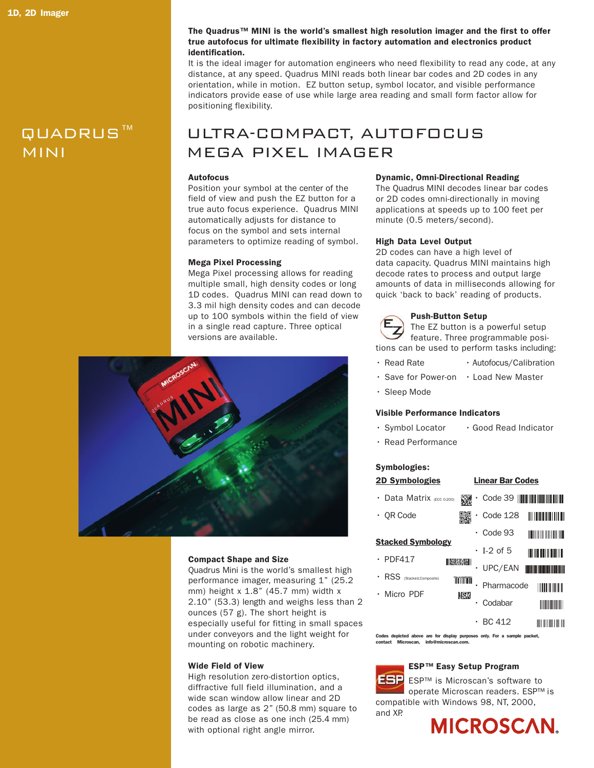#### The Quadrus™ MINI is the world's smallest high resolution imager and the first to offer true autofocus for ultimate flexibility in factory automation and electronics product identification.

It is the ideal imager for automation engineers who need flexibility to read any code, at any distance, at any speed. Quadrus MINI reads both linear bar codes and 2D codes in any orientation, while in motion. EZ button setup, symbol locator, and visible performance indicators provide ease of use while large area reading and small form factor allow for positioning flexibility.

## QUADRUS™ ULTRA-COMPACT, AUTOFOCUS MINI MEGA PIXEL IMAGER

#### Autofocus

Position your symbol at the center of the field of view and push the EZ button for a true auto focus experience. Quadrus MINI automatically adjusts for distance to focus on the symbol and sets internal parameters to optimize reading of symbol.

#### Mega Pixel Processing

Mega Pixel processing allows for reading multiple small, high density codes or long 1D codes. Quadrus MINI can read down to 3.3 mil high density codes and can decode up to 100 symbols within the field of view in a single read capture. Three optical versions are available.



#### Compact Shape and Size

Quadrus Mini is the world's smallest high performance imager, measuring 1" (25.2 mm) height x 1.8" (45.7 mm) width x 2.10" (53.3) length and weighs less than 2 ounces (57 g). The short height is especially useful for fitting in small spaces under conveyors and the light weight for mounting on robotic machinery.

#### Wide Field of View

High resolution zero-distortion optics, diffractive full field illumination, and a wide scan window allow linear and 2D codes as large as 2" (50.8 mm) square to be read as close as one inch (25.4 mm) with optional right angle mirror.

#### Dynamic, Omni-Directional Reading

The Quadrus MINI decodes linear bar codes or 2D codes omni-directionally in moving applications at speeds up to 100 feet per minute (0.5 meters/second).

#### High Data Level Output

2D codes can have a high level of data capacity. Quadrus MINI maintains high decode rates to process and output large amounts of data in milliseconds allowing for quick 'back to back' reading of products.

#### Push-Button Setup

The EZ button is a powerful setup feature. Three programmable positions can be used to perform tasks including:

- Read Rate Autofocus/Calibration
- Save for Power-on Load New Master
- Sleep Mode

#### Visible Performance Indicators

- Symbol Locator Good Read Indicator
- Read Performance

#### Symbologies:

| <b>2D Symbologies</b>                      |                   | <b>Linear Bar Codes</b> |                                    |
|--------------------------------------------|-------------------|-------------------------|------------------------------------|
| Data Matrix (ECC 0-200)                    | 鼷                 |                         |                                    |
| <b>OR Code</b>                             |                   | Code 128                | <u> III IIII IIII IIII III</u>     |
| <b>Stacked Symbology</b>                   |                   | Code 93                 | <u>H HII III III III III III I</u> |
|                                            |                   | $\cdot$ T-2 of 5        | <b>IN THE REAL PROPERTY</b>        |
| $\cdot$ PDF417<br>RSS (Stacked, Composite) | <b>LEAR AND I</b> | UPC/EAN                 |                                    |
|                                            | mmm               | Pharmacode              | <b>TITULIANI</b>                   |
| Micro PDF                                  | <b>MARKIN</b>     | Codabar                 |                                    |
|                                            |                   | <b>BC 412</b>           | illi illilli illi                  |

Codes depicted above are for display purposes only. For a sample packet ontact Microscan, info@microscan.

### ESP™ Easy Setup Program

ESP ESP™ is Microscan's software to operate Microscan readers. ESP™ is compatible with Windows 98, NT, 2000, and XP.